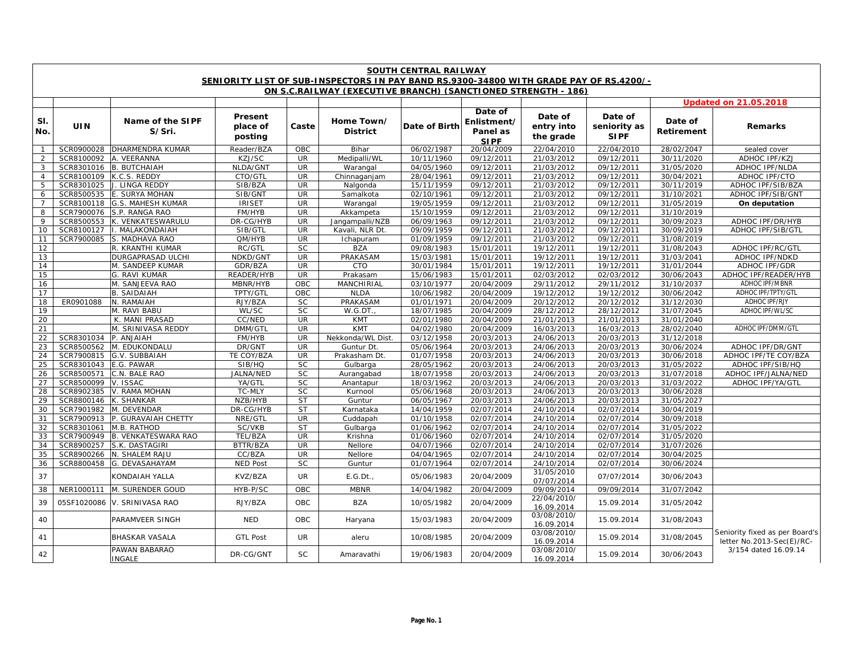|                | <b>SOUTH CENTRAL RAILWAY</b><br>SENIORITY LIST OF SUB-INSPECTORS IN PAY BAND RS.9300-34800 WITH GRADE PAY OF RS.4200/- |                                    |                                |                          |                               |                          |                                                   |                                         |                                        |                          |                                                             |
|----------------|------------------------------------------------------------------------------------------------------------------------|------------------------------------|--------------------------------|--------------------------|-------------------------------|--------------------------|---------------------------------------------------|-----------------------------------------|----------------------------------------|--------------------------|-------------------------------------------------------------|
|                | ON S.C.RAILWAY (EXECUTIVE BRANCH) (SANCTIONED STRENGTH - 186)                                                          |                                    |                                |                          |                               |                          |                                                   |                                         |                                        |                          |                                                             |
|                |                                                                                                                        |                                    |                                |                          |                               |                          |                                                   |                                         |                                        |                          | <b>Updated on 21.05.2018</b>                                |
| SI.<br>No.     | UIN                                                                                                                    | Name of the SIPF<br>S/Sri.         | Present<br>place of<br>posting | Caste                    | Home Town/<br><b>District</b> | Date of Birth            | Date of<br>Enlistment/<br>Panel as<br><b>SIPF</b> | Date of<br>entry into<br>the grade      | Date of<br>seniority as<br><b>SIPF</b> | Date of<br>Retirement    | Remarks                                                     |
| $\mathbf{1}$   | SCR0900028                                                                                                             | <b>DHARMENDRA KUMAR</b>            | Reader/BZA                     | OBC                      | Bihar                         | 06/02/1987               | 20/04/2009                                        | 22/04/2010                              | 22/04/2010                             | 28/02/2047               | sealed cover                                                |
| 2              | SCR8100092                                                                                                             | A. VEERANNA                        | KZJ/SC                         | <b>UR</b>                | Medipalli/WL                  | 10/11/1960               | 09/12/2011                                        | 21/03/2012                              | 09/12/2011                             | 30/11/2020               | ADHOC IPF/KZJ                                               |
| 3              | SCR8301016                                                                                                             | <b>B. BUTCHAIAH</b>                | NLDA/GNT                       | UR                       | Warangal                      | 04/05/1960               | 09/12/2011                                        | 21/03/2012                              | 09/12/2011                             | 31/05/2020               | ADHOC IPF/NLDA                                              |
| $\overline{4}$ | SCR8100109                                                                                                             | K.C.S. REDDY                       | CTO/GTL                        | $\overline{\mathsf{UR}}$ | Chinnaganjam                  | 28/04/1961               | 09/12/2011                                        | 21/03/2012                              | 09/12/2011                             | 30/04/2021               | ADHOC IPF/CTO                                               |
| 5              | SCR8301025                                                                                                             | J. LINGA REDDY                     | SIB/BZA                        | UR                       | Nalgonda                      | 15/11/1959               | 09/12/2011                                        | 21/03/2012                              | 09/12/2011                             | 30/11/2019               | ADHOC IPF/SIB/BZA                                           |
| 6              | SCR8500535                                                                                                             | E. SURYA MOHAN                     | SIB/GNT                        | UR                       | Samalkota                     | 02/10/1961               | 09/12/2011                                        | 21/03/2012                              | 09/12/2011                             | 31/10/2021               | ADHOC IPF/SIB/GNT                                           |
| $\overline{7}$ | SCR8100118                                                                                                             | G.S. MAHESH KUMAR                  | <b>IRISET</b>                  | <b>UR</b>                | Warangal                      | 19/05/1959               | 09/12/2011                                        | 21/03/2012                              | 09/12/2011                             | 31/05/2019               | On deputation                                               |
| 8              | SCR7900076                                                                                                             | S.P. RANGA RAO                     | FM/HYB                         | <b>UR</b>                | Akkampeta                     | 15/10/1959               | 09/12/2011                                        | 21/03/2012                              | 09/12/2011                             | 31/10/2019               |                                                             |
| 9              | SCR8500553                                                                                                             | K. VENKATESWARULU                  | DR-CG/HYB                      | UR                       | Jangampalli/NZB               | 06/09/1963               | 09/12/2011                                        | 21/03/2012                              | 09/12/2011                             | 30/09/2023               | ADHOC IPF/DR/HYB                                            |
| 10             | SCR8100127                                                                                                             | MALAKONDAIAH                       | SIB/GTL                        | <b>UR</b>                | Kavali, NLR Dt                | 09/09/1959               | 09/12/2011                                        | 21/03/2012                              | 09/12/2011                             | 30/09/2019               | ADHOC IPF/SIB/GTL                                           |
| 11             | SCR7900085                                                                                                             | S. MADHAVA RAO                     | QM/HYB                         | <b>UR</b>                | Ichapuram                     | 01/09/1959               | 09/12/2011                                        | 21/03/2012                              | 09/12/2011                             | 31/08/2019               |                                                             |
| 12             |                                                                                                                        | R. KRANTHI KUMAR                   | RC/GTL                         | SC                       | <b>BZA</b>                    | 09/08/1983               | 15/01/2011                                        | 19/12/2011                              | 19/12/2011                             | 31/08/2043               | <b>ADHOC IPF/RC/GTL</b>                                     |
| 13             |                                                                                                                        | <b>DURGAPRASAD ULCHI</b>           | NDKD/GNT                       | <b>UR</b>                | PRAKASAM                      | 15/03/1981               | 15/01/2011                                        | 19/12/2011                              | 19/12/2011                             | 31/03/2041               | ADHOC IPF/NDKD                                              |
| 14             |                                                                                                                        | M. SANDEEP KUMAR                   | GDR/BZA                        | <b>UR</b>                | <b>CTO</b>                    | 30/01/1984               | 15/01/2011                                        | 19/12/2011                              | 19/12/2011                             | 31/01/2044               | ADHOC IPF/GDR                                               |
| 15             |                                                                                                                        | G. RAVI KUMAR                      | READER/HYB                     | <b>UR</b>                | Prakasam                      | 15/06/1983               | 15/01/2011                                        | 02/03/2012                              | 02/03/2012                             | 30/06/2043               | ADHOC IPF/READER/HYB                                        |
| 16             |                                                                                                                        | M. SANJEEVA RAO                    | MBNR/HYB                       | OBC                      | <b>MANCHIRIAL</b>             | 03/10/1977               | 20/04/2009                                        | 29/11/2012                              | 29/11/2012                             | 31/10/2037               | ADHOC IPF/MBNR                                              |
| 17             |                                                                                                                        | <b>B. SAIDAIAH</b>                 | TPTY/GTL                       | OBC                      | <b>NLDA</b>                   | 10/06/1982               | 20/04/2009                                        | 19/12/2012                              | 19/12/2012                             | 30/06/2042               | ADHOC IPF/TPTY/GTL                                          |
| 18             | ER0901088                                                                                                              | N. RAMAIAH                         | RJY/BZA                        | <b>SC</b>                | PRAKASAM                      | 01/01/1971               | 20/04/2009                                        | 20/12/2012                              | 20/12/2012                             | 31/12/2030               | ADHOC IPF/RJY                                               |
| 19             |                                                                                                                        | M. RAVI BABU                       | WL/SC                          | SC                       | W.G.DT.                       | 18/07/1985               | 20/04/2009                                        | 28/12/2012                              | 28/12/2012                             | 31/07/2045               | ADHOC IPF/WL/SC                                             |
| 20             |                                                                                                                        | K. MANI PRASAD                     | CC/NED                         | UR                       | <b>KMT</b>                    | 02/01/1980               | 20/04/2009                                        | 21/01/2013                              | 21/01/2013                             | 31/01/2040               |                                                             |
| 21             |                                                                                                                        | M. SRINIVASA REDDY                 | DMM/GTL                        | UR                       | <b>KMT</b>                    | 04/02/1980               | 20/04/2009                                        | 16/03/2013                              | 16/03/2013                             | 28/02/2040               | ADHOC IPF/DMM/GTL                                           |
| 22<br>23       | SCR8301034                                                                                                             | P. ANJAIAH                         | FM/HYB                         | <b>UR</b>                | Nekkonda/WL Dist.             | 03/12/1958               | 20/03/2013                                        | 24/06/2013                              | 20/03/2013                             | 31/12/2018               |                                                             |
|                | SCR8500562                                                                                                             | M. EDUKONDALU                      | DR/GNT                         | <b>UR</b><br><b>UR</b>   | Guntur Dt.                    | 05/06/1964               | 20/03/2013                                        | 24/06/2013                              | 20/03/2013                             | 30/06/2024               | <b>ADHOC IPF/DR/GNT</b>                                     |
| 24<br>25       | SCR7900815<br>SCR8301043                                                                                               | <b>G.V. SUBBAIAH</b><br>E.G. PAWAR | TE COY/BZA<br>SIB/HQ           | <b>SC</b>                | Prakasham Dt.<br>Gulbarga     | 01/07/1958<br>28/05/1962 | 20/03/2013<br>20/03/2013                          | 24/06/2013<br>24/06/2013                | 20/03/2013<br>20/03/2013               | 30/06/2018<br>31/05/2022 | ADHOC IPF/TE COY/BZA<br>ADHOC IPF/SIB/HQ                    |
| 26             | SCR8500571                                                                                                             | C.N. BALE RAO                      | JALNA/NED                      | SC                       | Aurangabad                    | 18/07/1958               | 20/03/2013                                        | 24/06/2013                              | 20/03/2013                             | 31/07/2018               | ADHOC IPF/JALNA/NED                                         |
| 27             | SCR8500099                                                                                                             | V. ISSAC                           | YA/GTL                         | <b>SC</b>                | Anantapur                     | 18/03/1962               | 20/03/2013                                        | 24/06/2013                              | 20/03/2013                             | 31/03/2022               | ADHOC IPF/YA/GTL                                            |
| 28             | SCR8902385                                                                                                             | V. RAMA MOHAN                      | TC-MLY                         | SC                       | Kurnool                       | 05/06/1968               | 20/03/2013                                        | 24/06/2013                              | 20/03/2013                             | 30/06/2028               |                                                             |
| 29             | SCR8800146                                                                                                             | K. SHANKAR                         | NZB/HYB                        | <b>ST</b>                | Guntur                        | 06/05/1967               | 20/03/2013                                        | 24/06/2013                              | 20/03/2013                             | 31/05/2027               |                                                             |
| 30             | SCR7901982                                                                                                             | M. DEVENDAR                        | DR-CG/HYB                      | <b>ST</b>                | Karnataka                     | 14/04/1959               | 02/07/2014                                        | 24/10/2014                              | 02/07/2014                             | 30/04/2019               |                                                             |
| 31             | SCR7900913                                                                                                             | P. GURAVAIAH CHETTY                | NRE/GTL                        | UR                       | Cuddapah                      | 01/10/1958               | 02/07/2014                                        | 24/10/2014                              | 02/07/2014                             | 30/09/2018               |                                                             |
| 32             | SCR8301061                                                                                                             | M.B. RATHOD                        | SC/VKB                         | <b>ST</b>                | Gulbarga                      | 01/06/1962               | 02/07/2014                                        | 24/10/2014                              | 02/07/2014                             | 31/05/2022               |                                                             |
| 33             | SCR7900949                                                                                                             | B. VENKATESWARA RAO                | TEL/BZA                        | UR                       | Krishna                       | 01/06/1960               | 02/07/2014                                        | 24/10/2014                              | 02/07/2014                             | 31/05/2020               |                                                             |
| 34             | SCR8900257                                                                                                             | S.K. DASTAGIRI                     | BTTR/BZA                       | <b>UR</b>                | Nellore                       | 04/07/1966               | 02/07/2014                                        | 24/10/2014                              | 02/07/2014                             | 31/07/2026               |                                                             |
| 35             | SCR8900266                                                                                                             | N. SHALEM RAJU                     | CC/BZA                         | <b>UR</b>                | Nellore                       | 04/04/1965               | 02/07/2014                                        | 24/10/2014                              | 02/07/2014                             | 30/04/2025               |                                                             |
| 36             | SCR8800458                                                                                                             | G. DEVASAHAYAM                     | <b>NED Post</b>                | <b>SC</b>                | Guntur                        | 01/07/1964               | 02/07/2014                                        | 24/10/2014                              | 02/07/2014                             | 30/06/2024               |                                                             |
| 37             |                                                                                                                        | KONDAIAH YALLA                     | KVZ/BZA                        | <b>UR</b>                | E.G.Dt.,                      | 05/06/1983               | 20/04/2009                                        | 31/05/2010                              | 07/07/2014                             | 30/06/2043               |                                                             |
| 38             | NER1000111                                                                                                             | M. SURENDER GOUD                   | HYB-P/SC                       | <b>OBC</b>               | <b>MBNR</b>                   | 14/04/1982               | 20/04/2009                                        | 07/07/2014<br>09/09/2014                | 09/09/2014                             | 31/07/2042               |                                                             |
| 39             | 05SF1020086                                                                                                            | V. SRINIVASA RAO                   | RJY/BZA                        | OBC                      | <b>BZA</b>                    | 10/05/1982               | 20/04/2009                                        | 22/04/2010/                             | 15.09.2014                             | 31/05/2042               |                                                             |
| 40             |                                                                                                                        | PARAMVEER SINGH                    | <b>NED</b>                     | OBC                      | Haryana                       | 15/03/1983               | 20/04/2009                                        | 16.09.2014<br>03/08/2010/<br>16.09.2014 | 15.09.2014                             | 31/08/2043               |                                                             |
| 41             |                                                                                                                        | BHASKAR VASALA                     | <b>GTL Post</b>                | UR                       | aleru                         | 10/08/1985               | 20/04/2009                                        | 03/08/2010/<br>16.09.2014               | 15.09.2014                             | 31/08/2045               | Seniority fixed as per Board's<br>letter No.2013-Sec(E)/RC- |
| 42             |                                                                                                                        | PAWAN BABARAO<br><b>INGALE</b>     | DR-CG/GNT                      | <b>SC</b>                | Amaravathi                    | 19/06/1983               | 20/04/2009                                        | 03/08/2010/<br>16.09.2014               | 15.09.2014                             | 30/06/2043               | 3/154 dated 16.09.14                                        |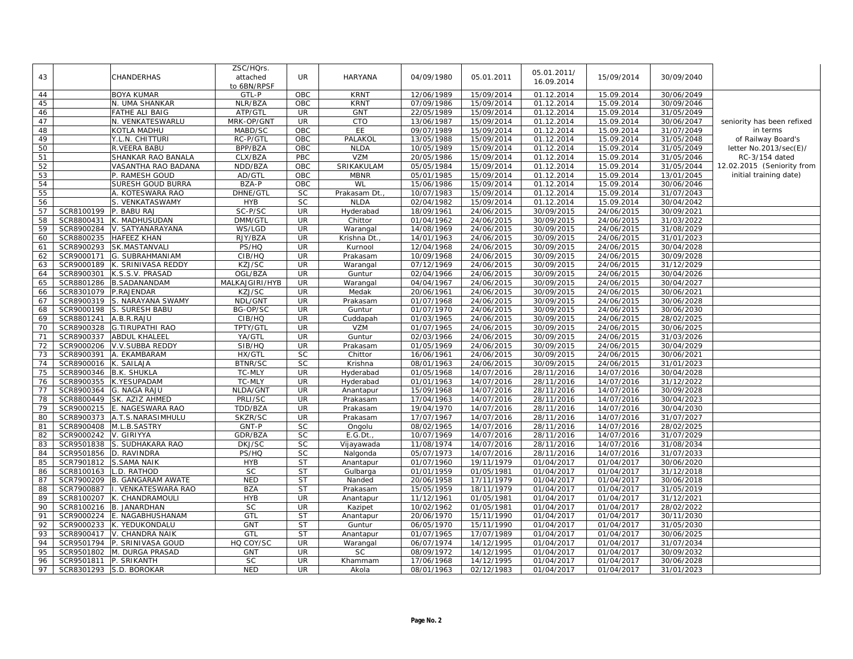| 05.01.2011/<br>43<br>CHANDERHAS<br><b>UR</b><br><b>HARYANA</b><br>05.01.2011<br>attached<br>04/09/1980<br>15/09/2014<br>30/09/2040<br>16.09.2014<br>to 6BN/RPSF<br>44<br><b>BOYA KUMAR</b><br>OBC<br><b>KRNT</b><br>12/06/1989<br>15/09/2014<br>01.12.2014<br>15.09.2014<br>30/06/2049<br>GTL-P<br>45<br>N. UMA SHANKAR<br>NLR/BZA<br>OBC<br><b>KRNT</b><br>07/09/1986<br>15/09/2014<br>01.12.2014<br>15.09.2014<br>30/09/2046<br>ATP/GTI<br><b>GNT</b><br>46<br><b>FATHE ALI BAIG</b><br><b>UR</b><br>22/05/1989<br>15/09/2014<br>01.12.2014<br>15.09.2014<br>31/05/2049<br>47<br>MRK-OP/GNT<br>UR<br><b>CTO</b><br>seniority has been refixed<br>N. VENKATESWARLU<br>13/06/1987<br>15/09/2014<br>01.12.2014<br>15.09.2014<br>30/06/2047<br>48<br>KOTLA MADHU<br>MABD/SC<br>OBC<br>EE.<br>09/07/1989<br>15/09/2014<br>01.12.2014<br>15.09.2014<br>31/07/2049<br>in terms<br>49<br>PALAKOI<br>15/09/2014<br>31/05/2048<br>Y.L.N. CHITTURI<br>RC-P/GTL<br>OBC<br>13/05/1988<br>01.12.2014<br>15.09.2014<br>of Railway Board's<br>50<br>BPP/BZA<br><b>OBC</b><br><b>NLDA</b><br>R.VEERA BABU<br>10/05/1989<br>15/09/2014<br>01.12.2014<br>15.09.2014<br>31/05/2049<br>letter No.2013/sec(E)/<br><b>VZM</b><br>CLX/BZA<br>PBC<br>20/05/1986<br>15/09/2014<br>01.12.2014<br>15.09.2014<br>31/05/2046<br>51<br>SHANKAR RAO BANALA<br>RC-3/154 dated<br>SRIKAKULAM<br>52<br>VASANTHA RAO BADANA<br>NDD/BZA<br>OBC<br>05/05/1984<br>15/09/2014<br>01.12.2014<br>15.09.2014<br>31/05/2044<br>12.02.2015 (Seniority from<br>53<br><b>OBC</b><br>P. RAMESH GOUD<br>AD/GTL<br><b>MBNR</b><br>05/01/1985<br>15/09/2014<br>01.12.2014<br>15.09.2014<br>13/01/2045<br>initial training date)<br>54<br>SURESH GOUD BURRA<br>BZA-P<br><b>OBC</b><br>WL<br>01.12.2014<br>15.09.2014<br>15/06/1986<br>15/09/2014<br>30/06/2046<br>55<br>DHNE/GTI<br><b>SC</b><br>Prakasam Dt.<br>10/07/1983<br>15/09/2014<br>01.12.2014<br>15.09.2014<br>31/07/2043<br>A. KOTESWARA RAO<br>56<br>SC<br><b>NLDA</b><br>01.12.2014<br>VENKATASWAMY<br><b>HYB</b><br>02/04/1982<br>15/09/2014<br>15.09.2014<br>30/04/2042<br>SCR8100199<br>$SC-P/SC$<br><b>UR</b><br>57<br><b>BABU RAJ</b><br>Hyderabad<br>18/09/1961<br>24/06/2015<br>30/09/2015<br>24/06/2015<br>30/09/2021<br>58<br><b>UR</b><br>Chittor<br>SCR8800431<br>K. MADHUSUDAN<br>DMM/GTL<br>01/04/1962<br>24/06/2015<br>30/09/2015<br>24/06/2015<br>31/03/2022<br><b>UR</b><br>59<br>SCR8900284<br>WS/LGD<br>14/08/1969<br>24/06/2015<br>30/09/2015<br>24/06/2015<br>31/08/2029<br>V. SATYANARAYANA<br>Warangal<br>UR <sup></sup><br>60<br>HAFEEZ KHAN<br>RJY/BZA<br>24/06/2015<br>SCR8800235<br>Krishna Dt.<br>14/01/1963<br>30/09/2015<br>24/06/2015<br>31/01/2023<br>SCR8900293<br><b>SK.MASTANVALI</b><br>PS/HQ<br><b>UR</b><br>24/06/2015<br>30/09/2015<br>24/06/2015<br>30/04/2028<br>61<br>Kurnool<br>12/04/1968<br>62<br>SCR9000171<br>G. SUBRAHMANIAM<br>CIB/HQ<br><b>UR</b><br>10/09/1968<br>24/06/2015<br>30/09/2015<br>24/06/2015<br>30/09/2028<br>Prakasam<br>63<br>SCR9000189<br>K. SRINIVASA REDDY<br>KZJ/SC<br><b>UR</b><br>07/12/1969<br>24/06/2015<br>24/06/2015<br>Warangal<br>30/09/2015<br>31/12/2029<br>64<br>SCR8900301<br>K.S.S.V. PRASAD<br>OGL/BZA<br><b>UR</b><br>02/04/1966<br>24/06/2015<br>30/09/2015<br>24/06/2015<br>30/04/2026<br>Guntur<br>65<br>SCR8801286<br><b>B.SADANANDAM</b><br>MALKAJGIRI/HYB<br><b>UR</b><br>04/04/1967<br>24/06/2015<br>30/09/2015<br>24/06/2015<br>30/04/2027<br>Warangal<br>SCR8301079<br>KZJ/SC<br>UR<br>Medak<br>20/06/1961<br>24/06/2015<br>66<br>P.RAJENDAR<br>30/09/2015<br>24/06/2015<br>30/06/2021<br>. NARAYANA SWAMY<br>24/06/2015<br>24/06/2015<br>67<br>SCR8900319<br>NDL/GNT<br><b>UR</b><br>01/07/1968<br>30/09/2015<br>30/06/2028<br>Prakasam<br>68<br>BG-OP/SC<br><b>UR</b><br>01/07/1970<br>SCR9000198<br>S. SURESH BABU<br>Guntur<br>24/06/2015<br>30/09/2015<br>24/06/2015<br>30/06/2030<br>SCR8801241<br>CIB/HQ<br><b>UR</b><br>69<br>A.B.R.RAJU<br>Cuddapah<br>01/03/1965<br>24/06/2015<br>30/09/2015<br>24/06/2015<br>28/02/2025<br>70<br>SCR8900328<br><b>G.TIRUPATHI RAO</b><br>TPTY/GTL<br><b>UR</b><br>VZM<br>01/07/1965<br>24/06/2015<br>30/09/2015<br>24/06/2015<br>30/06/2025<br>71<br>SCR8900337<br><b>ABDUL KHALEEL</b><br>YA/GTL<br><b>UR</b><br>Guntur<br>02/03/1966<br>24/06/2015<br>30/09/2015<br>24/06/2015<br>31/03/2026<br>72<br>SCR9000206<br>SIB/HQ<br><b>UR</b><br>24/06/2015<br>24/06/2015<br>30/04/2029<br>V.V.SUBBA REDDY<br>Prakasam<br>01/05/1969<br>30/09/2015<br>73<br>HX/GTL<br>SC<br>SCR8900391<br>A. EKAMBARAM<br>Chittor<br>16/06/1961<br>24/06/2015<br>30/09/2015<br>24/06/2015<br>30/06/2021<br>SC<br>74<br>SCR8900016<br>K. SAILAJA<br><b>BTNR/SC</b><br>Krishna<br>08/01/1963<br>24/06/2015<br>30/09/2015<br>24/06/2015<br>31/01/2023<br>75<br>SCR8900346<br><b>B.K. SHUKLA</b><br>TC-MLY<br><b>UR</b><br>01/05/1968<br>14/07/2016<br>14/07/2016<br>Hyderabad<br>28/11/2016<br>30/04/2028<br>76<br>SCR8900355<br><b>UR</b><br>K.YESUPADAM<br><b>TC-MLY</b><br>Hyderabad<br>01/01/1963<br>14/07/2016<br>28/11/2016<br>14/07/2016<br>31/12/2022<br>77<br>SCR8900364<br>G. NAGA RAJU<br>NLDA/GNT<br>UR<br>15/09/1968<br>14/07/2016<br>28/11/2016<br>14/07/2016<br>30/09/2028<br>Anantapur<br>SK. AZIZ AHMED<br>PRLI/SC<br><b>UR</b><br>14/07/2016<br>28/11/2016<br>14/07/2016<br>78<br>SCR8800449<br>Prakasam<br>17/04/1963<br>30/04/2023<br>79<br><b>UR</b><br>SCR9000215<br>E. NAGESWARA RAO<br>TDD/BZA<br>Prakasam<br>19/04/1970<br>14/07/2016<br>28/11/2016<br>14/07/2016<br>30/04/2030<br>80<br>SCR8900373<br>A.T.S.NARASIMHULU<br>SKZR/SC<br>UR<br>17/07/1967<br>14/07/2016<br>28/11/2016<br>14/07/2016<br>31/07/2027<br>Prakasam<br>SC<br>81<br>SCR8900408<br>M.L.B.SASTRY<br>GNT-P<br>Ongolu<br>08/02/1965<br>14/07/2016<br>28/11/2016<br>14/07/2016<br>28/02/2025<br>82<br>SCR9000242<br>V. GIRIYYA<br>GDR/BZA<br><b>SC</b><br>E.G.Dt.<br>10/07/1969<br>14/07/2016<br>28/11/2016<br>14/07/2016<br>31/07/2029<br>83<br>SCR9501838<br>SUDHAKARA RAO<br>DKJ/SC<br><b>SC</b><br>11/08/1974<br>14/07/2016<br>28/11/2016<br>14/07/2016<br>31/08/2034<br>Vijayawada<br>SC<br>84<br>SCR9501856<br>D. RAVINDRA<br>PS/HQ<br>Nalgonda<br>05/07/1973<br>14/07/2016<br>28/11/2016<br>14/07/2016<br>31/07/2033<br>85<br><b>ST</b><br>SCR7901812<br><b>S.SAMA NAIK</b><br><b>HYB</b><br>01/07/1960<br>19/11/1979<br>01/04/2017<br>01/04/2017<br>30/06/2020<br>Anantapur<br><b>SC</b><br>ST<br>86<br>SCR8100163<br>.D. RATHOD<br>01/01/1959<br>01/05/1981<br>01/04/2017<br>01/04/2017<br>31/12/2018<br>Gulbarga<br>87<br>SCR7900209<br><b>B. GANGARAM AWATE</b><br><b>NED</b><br><b>ST</b><br>20/06/1958<br>17/11/1979<br>01/04/2017<br>01/04/2017<br>30/06/2018<br>Nanded<br><b>ST</b><br>88<br>SCR7900887<br><b>VENKATESWARA RAO</b><br><b>BZA</b><br>15/05/1959<br>18/11/1979<br>01/04/2017<br>01/04/2017<br>31/05/2019<br>Prakasam<br>89<br><b>UR</b><br>SCR8100207<br>K. CHANDRAMOULI<br><b>HYB</b><br>11/12/1961<br>01/05/1981<br>01/04/2017<br>01/04/2017<br>31/12/2021<br>Anantapur<br>90<br>SC<br>SCR8100216<br><b>B. JANARDHAN</b><br><b>UR</b><br>10/02/1962<br>01/05/1981<br>01/04/2017<br>01/04/2017<br>28/02/2022<br>Kazipet<br>91<br>GTL<br><b>ST</b><br>15/11/1990<br>01/04/2017<br>01/04/2017<br>SCR9000224<br>E. NAGABHUSHANAM<br>Anantapur<br>20/06/1970<br>30/11/2030<br><b>ST</b><br>92<br>SCR9000233<br>K. YEDUKONDALU<br><b>GNT</b><br>Guntur<br>06/05/1970<br>15/11/1990<br>01/04/2017<br>01/04/2017<br>31/05/2030<br>93<br>GTL<br><b>ST</b><br>17/07/1989<br>01/04/2017<br>01/04/2017<br>30/06/2025<br>SCR8900417<br>V. CHANDRA NAIK<br>01/07/1965<br>Anantapur |    |            |                   | ZSC/HQrs. |           |          |            |            |            |            |            |  |
|----------------------------------------------------------------------------------------------------------------------------------------------------------------------------------------------------------------------------------------------------------------------------------------------------------------------------------------------------------------------------------------------------------------------------------------------------------------------------------------------------------------------------------------------------------------------------------------------------------------------------------------------------------------------------------------------------------------------------------------------------------------------------------------------------------------------------------------------------------------------------------------------------------------------------------------------------------------------------------------------------------------------------------------------------------------------------------------------------------------------------------------------------------------------------------------------------------------------------------------------------------------------------------------------------------------------------------------------------------------------------------------------------------------------------------------------------------------------------------------------------------------------------------------------------------------------------------------------------------------------------------------------------------------------------------------------------------------------------------------------------------------------------------------------------------------------------------------------------------------------------------------------------------------------------------------------------------------------------------------------------------------------------------------------------------------------------------------------------------------------------------------------------------------------------------------------------------------------------------------------------------------------------------------------------------------------------------------------------------------------------------------------------------------------------------------------------------------------------------------------------------------------------------------------------------------------------------------------------------------------------------------------------------------------------------------------------------------------------------------------------------------------------------------------------------------------------------------------------------------------------------------------------------------------------------------------------------------------------------------------------------------------------------------------------------------------------------------------------------------------------------------------------------------------------------------------------------------------------------------------------------------------------------------------------------------------------------------------------------------------------------------------------------------------------------------------------------------------------------------------------------------------------------------------------------------------------------------------------------------------------------------------------------------------------------------------------------------------------------------------------------------------------------------------------------------------------------------------------------------------------------------------------------------------------------------------------------------------------------------------------------------------------------------------------------------------------------------------------------------------------------------------------------------------------------------------------------------------------------------------------------------------------------------------------------------------------------------------------------------------------------------------------------------------------------------------------------------------------------------------------------------------------------------------------------------------------------------------------------------------------------------------------------------------------------------------------------------------------------------------------------------------------------------------------------------------------------------------------------------------------------------------------------------------------------------------------------------------------------------------------------------------------------------------------------------------------------------------------------------------------------------------------------------------------------------------------------------------------------------------------------------------------------------------------------------------------------------------------------------------------------------------------------------------------------------------------------------------------------------------------------------------------------------------------------------------------------------------------------------------------------------------------------------------------------------------------------------------------------------------------------------------------------------------------------------------------------------------------------------------------------------------------------------------------------------------------------------------------------------------------------------------------------------------------------------------------------------------------------------------------------------------------------------------------------------------------------------------------------------------------------------------------------------------------------------------------------------------------------------------------------------------------------------------------------------------------------------------------------------------------------------------------------------------------------------------------------------------------------------------------------------------------------------------------------------------------------------------------------------------------------------------------------------------------------------------------------------------------------------------------------------------------------------------------------------------------------------------------------------------------------------------------------------------------------------------------------------------------------------------------------------------------------------------------------------------------------------------------------------------------------------------------------------------------------------------------------------------------------------------------------------------------------------------------------------------------------------------------------------------------------------------------------------------------------------------------------------------------------------------------|----|------------|-------------------|-----------|-----------|----------|------------|------------|------------|------------|------------|--|
|                                                                                                                                                                                                                                                                                                                                                                                                                                                                                                                                                                                                                                                                                                                                                                                                                                                                                                                                                                                                                                                                                                                                                                                                                                                                                                                                                                                                                                                                                                                                                                                                                                                                                                                                                                                                                                                                                                                                                                                                                                                                                                                                                                                                                                                                                                                                                                                                                                                                                                                                                                                                                                                                                                                                                                                                                                                                                                                                                                                                                                                                                                                                                                                                                                                                                                                                                                                                                                                                                                                                                                                                                                                                                                                                                                                                                                                                                                                                                                                                                                                                                                                                                                                                                                                                                                                                                                                                                                                                                                                                                                                                                                                                                                                                                                                                                                                                                                                                                                                                                                                                                                                                                                                                                                                                                                                                                                                                                                                                                                                                                                                                                                                                                                                                                                                                                                                                                                                                                                                                                                                                                                                                                                                                                                                                                                                                                                                                                                                                                                                                                                                                                                                                                                                                                                                                                                                                                                                                                                                                                                                                                                                                                                                                                                                                                                                                                                                                                                                                                                                                                                                                                            |    |            |                   |           |           |          |            |            |            |            |            |  |
|                                                                                                                                                                                                                                                                                                                                                                                                                                                                                                                                                                                                                                                                                                                                                                                                                                                                                                                                                                                                                                                                                                                                                                                                                                                                                                                                                                                                                                                                                                                                                                                                                                                                                                                                                                                                                                                                                                                                                                                                                                                                                                                                                                                                                                                                                                                                                                                                                                                                                                                                                                                                                                                                                                                                                                                                                                                                                                                                                                                                                                                                                                                                                                                                                                                                                                                                                                                                                                                                                                                                                                                                                                                                                                                                                                                                                                                                                                                                                                                                                                                                                                                                                                                                                                                                                                                                                                                                                                                                                                                                                                                                                                                                                                                                                                                                                                                                                                                                                                                                                                                                                                                                                                                                                                                                                                                                                                                                                                                                                                                                                                                                                                                                                                                                                                                                                                                                                                                                                                                                                                                                                                                                                                                                                                                                                                                                                                                                                                                                                                                                                                                                                                                                                                                                                                                                                                                                                                                                                                                                                                                                                                                                                                                                                                                                                                                                                                                                                                                                                                                                                                                                                            |    |            |                   |           |           |          |            |            |            |            |            |  |
|                                                                                                                                                                                                                                                                                                                                                                                                                                                                                                                                                                                                                                                                                                                                                                                                                                                                                                                                                                                                                                                                                                                                                                                                                                                                                                                                                                                                                                                                                                                                                                                                                                                                                                                                                                                                                                                                                                                                                                                                                                                                                                                                                                                                                                                                                                                                                                                                                                                                                                                                                                                                                                                                                                                                                                                                                                                                                                                                                                                                                                                                                                                                                                                                                                                                                                                                                                                                                                                                                                                                                                                                                                                                                                                                                                                                                                                                                                                                                                                                                                                                                                                                                                                                                                                                                                                                                                                                                                                                                                                                                                                                                                                                                                                                                                                                                                                                                                                                                                                                                                                                                                                                                                                                                                                                                                                                                                                                                                                                                                                                                                                                                                                                                                                                                                                                                                                                                                                                                                                                                                                                                                                                                                                                                                                                                                                                                                                                                                                                                                                                                                                                                                                                                                                                                                                                                                                                                                                                                                                                                                                                                                                                                                                                                                                                                                                                                                                                                                                                                                                                                                                                                            |    |            |                   |           |           |          |            |            |            |            |            |  |
|                                                                                                                                                                                                                                                                                                                                                                                                                                                                                                                                                                                                                                                                                                                                                                                                                                                                                                                                                                                                                                                                                                                                                                                                                                                                                                                                                                                                                                                                                                                                                                                                                                                                                                                                                                                                                                                                                                                                                                                                                                                                                                                                                                                                                                                                                                                                                                                                                                                                                                                                                                                                                                                                                                                                                                                                                                                                                                                                                                                                                                                                                                                                                                                                                                                                                                                                                                                                                                                                                                                                                                                                                                                                                                                                                                                                                                                                                                                                                                                                                                                                                                                                                                                                                                                                                                                                                                                                                                                                                                                                                                                                                                                                                                                                                                                                                                                                                                                                                                                                                                                                                                                                                                                                                                                                                                                                                                                                                                                                                                                                                                                                                                                                                                                                                                                                                                                                                                                                                                                                                                                                                                                                                                                                                                                                                                                                                                                                                                                                                                                                                                                                                                                                                                                                                                                                                                                                                                                                                                                                                                                                                                                                                                                                                                                                                                                                                                                                                                                                                                                                                                                                                            |    |            |                   |           |           |          |            |            |            |            |            |  |
|                                                                                                                                                                                                                                                                                                                                                                                                                                                                                                                                                                                                                                                                                                                                                                                                                                                                                                                                                                                                                                                                                                                                                                                                                                                                                                                                                                                                                                                                                                                                                                                                                                                                                                                                                                                                                                                                                                                                                                                                                                                                                                                                                                                                                                                                                                                                                                                                                                                                                                                                                                                                                                                                                                                                                                                                                                                                                                                                                                                                                                                                                                                                                                                                                                                                                                                                                                                                                                                                                                                                                                                                                                                                                                                                                                                                                                                                                                                                                                                                                                                                                                                                                                                                                                                                                                                                                                                                                                                                                                                                                                                                                                                                                                                                                                                                                                                                                                                                                                                                                                                                                                                                                                                                                                                                                                                                                                                                                                                                                                                                                                                                                                                                                                                                                                                                                                                                                                                                                                                                                                                                                                                                                                                                                                                                                                                                                                                                                                                                                                                                                                                                                                                                                                                                                                                                                                                                                                                                                                                                                                                                                                                                                                                                                                                                                                                                                                                                                                                                                                                                                                                                                            |    |            |                   |           |           |          |            |            |            |            |            |  |
|                                                                                                                                                                                                                                                                                                                                                                                                                                                                                                                                                                                                                                                                                                                                                                                                                                                                                                                                                                                                                                                                                                                                                                                                                                                                                                                                                                                                                                                                                                                                                                                                                                                                                                                                                                                                                                                                                                                                                                                                                                                                                                                                                                                                                                                                                                                                                                                                                                                                                                                                                                                                                                                                                                                                                                                                                                                                                                                                                                                                                                                                                                                                                                                                                                                                                                                                                                                                                                                                                                                                                                                                                                                                                                                                                                                                                                                                                                                                                                                                                                                                                                                                                                                                                                                                                                                                                                                                                                                                                                                                                                                                                                                                                                                                                                                                                                                                                                                                                                                                                                                                                                                                                                                                                                                                                                                                                                                                                                                                                                                                                                                                                                                                                                                                                                                                                                                                                                                                                                                                                                                                                                                                                                                                                                                                                                                                                                                                                                                                                                                                                                                                                                                                                                                                                                                                                                                                                                                                                                                                                                                                                                                                                                                                                                                                                                                                                                                                                                                                                                                                                                                                                            |    |            |                   |           |           |          |            |            |            |            |            |  |
|                                                                                                                                                                                                                                                                                                                                                                                                                                                                                                                                                                                                                                                                                                                                                                                                                                                                                                                                                                                                                                                                                                                                                                                                                                                                                                                                                                                                                                                                                                                                                                                                                                                                                                                                                                                                                                                                                                                                                                                                                                                                                                                                                                                                                                                                                                                                                                                                                                                                                                                                                                                                                                                                                                                                                                                                                                                                                                                                                                                                                                                                                                                                                                                                                                                                                                                                                                                                                                                                                                                                                                                                                                                                                                                                                                                                                                                                                                                                                                                                                                                                                                                                                                                                                                                                                                                                                                                                                                                                                                                                                                                                                                                                                                                                                                                                                                                                                                                                                                                                                                                                                                                                                                                                                                                                                                                                                                                                                                                                                                                                                                                                                                                                                                                                                                                                                                                                                                                                                                                                                                                                                                                                                                                                                                                                                                                                                                                                                                                                                                                                                                                                                                                                                                                                                                                                                                                                                                                                                                                                                                                                                                                                                                                                                                                                                                                                                                                                                                                                                                                                                                                                                            |    |            |                   |           |           |          |            |            |            |            |            |  |
|                                                                                                                                                                                                                                                                                                                                                                                                                                                                                                                                                                                                                                                                                                                                                                                                                                                                                                                                                                                                                                                                                                                                                                                                                                                                                                                                                                                                                                                                                                                                                                                                                                                                                                                                                                                                                                                                                                                                                                                                                                                                                                                                                                                                                                                                                                                                                                                                                                                                                                                                                                                                                                                                                                                                                                                                                                                                                                                                                                                                                                                                                                                                                                                                                                                                                                                                                                                                                                                                                                                                                                                                                                                                                                                                                                                                                                                                                                                                                                                                                                                                                                                                                                                                                                                                                                                                                                                                                                                                                                                                                                                                                                                                                                                                                                                                                                                                                                                                                                                                                                                                                                                                                                                                                                                                                                                                                                                                                                                                                                                                                                                                                                                                                                                                                                                                                                                                                                                                                                                                                                                                                                                                                                                                                                                                                                                                                                                                                                                                                                                                                                                                                                                                                                                                                                                                                                                                                                                                                                                                                                                                                                                                                                                                                                                                                                                                                                                                                                                                                                                                                                                                                            |    |            |                   |           |           |          |            |            |            |            |            |  |
|                                                                                                                                                                                                                                                                                                                                                                                                                                                                                                                                                                                                                                                                                                                                                                                                                                                                                                                                                                                                                                                                                                                                                                                                                                                                                                                                                                                                                                                                                                                                                                                                                                                                                                                                                                                                                                                                                                                                                                                                                                                                                                                                                                                                                                                                                                                                                                                                                                                                                                                                                                                                                                                                                                                                                                                                                                                                                                                                                                                                                                                                                                                                                                                                                                                                                                                                                                                                                                                                                                                                                                                                                                                                                                                                                                                                                                                                                                                                                                                                                                                                                                                                                                                                                                                                                                                                                                                                                                                                                                                                                                                                                                                                                                                                                                                                                                                                                                                                                                                                                                                                                                                                                                                                                                                                                                                                                                                                                                                                                                                                                                                                                                                                                                                                                                                                                                                                                                                                                                                                                                                                                                                                                                                                                                                                                                                                                                                                                                                                                                                                                                                                                                                                                                                                                                                                                                                                                                                                                                                                                                                                                                                                                                                                                                                                                                                                                                                                                                                                                                                                                                                                                            |    |            |                   |           |           |          |            |            |            |            |            |  |
|                                                                                                                                                                                                                                                                                                                                                                                                                                                                                                                                                                                                                                                                                                                                                                                                                                                                                                                                                                                                                                                                                                                                                                                                                                                                                                                                                                                                                                                                                                                                                                                                                                                                                                                                                                                                                                                                                                                                                                                                                                                                                                                                                                                                                                                                                                                                                                                                                                                                                                                                                                                                                                                                                                                                                                                                                                                                                                                                                                                                                                                                                                                                                                                                                                                                                                                                                                                                                                                                                                                                                                                                                                                                                                                                                                                                                                                                                                                                                                                                                                                                                                                                                                                                                                                                                                                                                                                                                                                                                                                                                                                                                                                                                                                                                                                                                                                                                                                                                                                                                                                                                                                                                                                                                                                                                                                                                                                                                                                                                                                                                                                                                                                                                                                                                                                                                                                                                                                                                                                                                                                                                                                                                                                                                                                                                                                                                                                                                                                                                                                                                                                                                                                                                                                                                                                                                                                                                                                                                                                                                                                                                                                                                                                                                                                                                                                                                                                                                                                                                                                                                                                                                            |    |            |                   |           |           |          |            |            |            |            |            |  |
|                                                                                                                                                                                                                                                                                                                                                                                                                                                                                                                                                                                                                                                                                                                                                                                                                                                                                                                                                                                                                                                                                                                                                                                                                                                                                                                                                                                                                                                                                                                                                                                                                                                                                                                                                                                                                                                                                                                                                                                                                                                                                                                                                                                                                                                                                                                                                                                                                                                                                                                                                                                                                                                                                                                                                                                                                                                                                                                                                                                                                                                                                                                                                                                                                                                                                                                                                                                                                                                                                                                                                                                                                                                                                                                                                                                                                                                                                                                                                                                                                                                                                                                                                                                                                                                                                                                                                                                                                                                                                                                                                                                                                                                                                                                                                                                                                                                                                                                                                                                                                                                                                                                                                                                                                                                                                                                                                                                                                                                                                                                                                                                                                                                                                                                                                                                                                                                                                                                                                                                                                                                                                                                                                                                                                                                                                                                                                                                                                                                                                                                                                                                                                                                                                                                                                                                                                                                                                                                                                                                                                                                                                                                                                                                                                                                                                                                                                                                                                                                                                                                                                                                                                            |    |            |                   |           |           |          |            |            |            |            |            |  |
|                                                                                                                                                                                                                                                                                                                                                                                                                                                                                                                                                                                                                                                                                                                                                                                                                                                                                                                                                                                                                                                                                                                                                                                                                                                                                                                                                                                                                                                                                                                                                                                                                                                                                                                                                                                                                                                                                                                                                                                                                                                                                                                                                                                                                                                                                                                                                                                                                                                                                                                                                                                                                                                                                                                                                                                                                                                                                                                                                                                                                                                                                                                                                                                                                                                                                                                                                                                                                                                                                                                                                                                                                                                                                                                                                                                                                                                                                                                                                                                                                                                                                                                                                                                                                                                                                                                                                                                                                                                                                                                                                                                                                                                                                                                                                                                                                                                                                                                                                                                                                                                                                                                                                                                                                                                                                                                                                                                                                                                                                                                                                                                                                                                                                                                                                                                                                                                                                                                                                                                                                                                                                                                                                                                                                                                                                                                                                                                                                                                                                                                                                                                                                                                                                                                                                                                                                                                                                                                                                                                                                                                                                                                                                                                                                                                                                                                                                                                                                                                                                                                                                                                                                            |    |            |                   |           |           |          |            |            |            |            |            |  |
|                                                                                                                                                                                                                                                                                                                                                                                                                                                                                                                                                                                                                                                                                                                                                                                                                                                                                                                                                                                                                                                                                                                                                                                                                                                                                                                                                                                                                                                                                                                                                                                                                                                                                                                                                                                                                                                                                                                                                                                                                                                                                                                                                                                                                                                                                                                                                                                                                                                                                                                                                                                                                                                                                                                                                                                                                                                                                                                                                                                                                                                                                                                                                                                                                                                                                                                                                                                                                                                                                                                                                                                                                                                                                                                                                                                                                                                                                                                                                                                                                                                                                                                                                                                                                                                                                                                                                                                                                                                                                                                                                                                                                                                                                                                                                                                                                                                                                                                                                                                                                                                                                                                                                                                                                                                                                                                                                                                                                                                                                                                                                                                                                                                                                                                                                                                                                                                                                                                                                                                                                                                                                                                                                                                                                                                                                                                                                                                                                                                                                                                                                                                                                                                                                                                                                                                                                                                                                                                                                                                                                                                                                                                                                                                                                                                                                                                                                                                                                                                                                                                                                                                                                            |    |            |                   |           |           |          |            |            |            |            |            |  |
|                                                                                                                                                                                                                                                                                                                                                                                                                                                                                                                                                                                                                                                                                                                                                                                                                                                                                                                                                                                                                                                                                                                                                                                                                                                                                                                                                                                                                                                                                                                                                                                                                                                                                                                                                                                                                                                                                                                                                                                                                                                                                                                                                                                                                                                                                                                                                                                                                                                                                                                                                                                                                                                                                                                                                                                                                                                                                                                                                                                                                                                                                                                                                                                                                                                                                                                                                                                                                                                                                                                                                                                                                                                                                                                                                                                                                                                                                                                                                                                                                                                                                                                                                                                                                                                                                                                                                                                                                                                                                                                                                                                                                                                                                                                                                                                                                                                                                                                                                                                                                                                                                                                                                                                                                                                                                                                                                                                                                                                                                                                                                                                                                                                                                                                                                                                                                                                                                                                                                                                                                                                                                                                                                                                                                                                                                                                                                                                                                                                                                                                                                                                                                                                                                                                                                                                                                                                                                                                                                                                                                                                                                                                                                                                                                                                                                                                                                                                                                                                                                                                                                                                                                            |    |            |                   |           |           |          |            |            |            |            |            |  |
|                                                                                                                                                                                                                                                                                                                                                                                                                                                                                                                                                                                                                                                                                                                                                                                                                                                                                                                                                                                                                                                                                                                                                                                                                                                                                                                                                                                                                                                                                                                                                                                                                                                                                                                                                                                                                                                                                                                                                                                                                                                                                                                                                                                                                                                                                                                                                                                                                                                                                                                                                                                                                                                                                                                                                                                                                                                                                                                                                                                                                                                                                                                                                                                                                                                                                                                                                                                                                                                                                                                                                                                                                                                                                                                                                                                                                                                                                                                                                                                                                                                                                                                                                                                                                                                                                                                                                                                                                                                                                                                                                                                                                                                                                                                                                                                                                                                                                                                                                                                                                                                                                                                                                                                                                                                                                                                                                                                                                                                                                                                                                                                                                                                                                                                                                                                                                                                                                                                                                                                                                                                                                                                                                                                                                                                                                                                                                                                                                                                                                                                                                                                                                                                                                                                                                                                                                                                                                                                                                                                                                                                                                                                                                                                                                                                                                                                                                                                                                                                                                                                                                                                                                            |    |            |                   |           |           |          |            |            |            |            |            |  |
|                                                                                                                                                                                                                                                                                                                                                                                                                                                                                                                                                                                                                                                                                                                                                                                                                                                                                                                                                                                                                                                                                                                                                                                                                                                                                                                                                                                                                                                                                                                                                                                                                                                                                                                                                                                                                                                                                                                                                                                                                                                                                                                                                                                                                                                                                                                                                                                                                                                                                                                                                                                                                                                                                                                                                                                                                                                                                                                                                                                                                                                                                                                                                                                                                                                                                                                                                                                                                                                                                                                                                                                                                                                                                                                                                                                                                                                                                                                                                                                                                                                                                                                                                                                                                                                                                                                                                                                                                                                                                                                                                                                                                                                                                                                                                                                                                                                                                                                                                                                                                                                                                                                                                                                                                                                                                                                                                                                                                                                                                                                                                                                                                                                                                                                                                                                                                                                                                                                                                                                                                                                                                                                                                                                                                                                                                                                                                                                                                                                                                                                                                                                                                                                                                                                                                                                                                                                                                                                                                                                                                                                                                                                                                                                                                                                                                                                                                                                                                                                                                                                                                                                                                            |    |            |                   |           |           |          |            |            |            |            |            |  |
|                                                                                                                                                                                                                                                                                                                                                                                                                                                                                                                                                                                                                                                                                                                                                                                                                                                                                                                                                                                                                                                                                                                                                                                                                                                                                                                                                                                                                                                                                                                                                                                                                                                                                                                                                                                                                                                                                                                                                                                                                                                                                                                                                                                                                                                                                                                                                                                                                                                                                                                                                                                                                                                                                                                                                                                                                                                                                                                                                                                                                                                                                                                                                                                                                                                                                                                                                                                                                                                                                                                                                                                                                                                                                                                                                                                                                                                                                                                                                                                                                                                                                                                                                                                                                                                                                                                                                                                                                                                                                                                                                                                                                                                                                                                                                                                                                                                                                                                                                                                                                                                                                                                                                                                                                                                                                                                                                                                                                                                                                                                                                                                                                                                                                                                                                                                                                                                                                                                                                                                                                                                                                                                                                                                                                                                                                                                                                                                                                                                                                                                                                                                                                                                                                                                                                                                                                                                                                                                                                                                                                                                                                                                                                                                                                                                                                                                                                                                                                                                                                                                                                                                                                            |    |            |                   |           |           |          |            |            |            |            |            |  |
|                                                                                                                                                                                                                                                                                                                                                                                                                                                                                                                                                                                                                                                                                                                                                                                                                                                                                                                                                                                                                                                                                                                                                                                                                                                                                                                                                                                                                                                                                                                                                                                                                                                                                                                                                                                                                                                                                                                                                                                                                                                                                                                                                                                                                                                                                                                                                                                                                                                                                                                                                                                                                                                                                                                                                                                                                                                                                                                                                                                                                                                                                                                                                                                                                                                                                                                                                                                                                                                                                                                                                                                                                                                                                                                                                                                                                                                                                                                                                                                                                                                                                                                                                                                                                                                                                                                                                                                                                                                                                                                                                                                                                                                                                                                                                                                                                                                                                                                                                                                                                                                                                                                                                                                                                                                                                                                                                                                                                                                                                                                                                                                                                                                                                                                                                                                                                                                                                                                                                                                                                                                                                                                                                                                                                                                                                                                                                                                                                                                                                                                                                                                                                                                                                                                                                                                                                                                                                                                                                                                                                                                                                                                                                                                                                                                                                                                                                                                                                                                                                                                                                                                                                            |    |            |                   |           |           |          |            |            |            |            |            |  |
|                                                                                                                                                                                                                                                                                                                                                                                                                                                                                                                                                                                                                                                                                                                                                                                                                                                                                                                                                                                                                                                                                                                                                                                                                                                                                                                                                                                                                                                                                                                                                                                                                                                                                                                                                                                                                                                                                                                                                                                                                                                                                                                                                                                                                                                                                                                                                                                                                                                                                                                                                                                                                                                                                                                                                                                                                                                                                                                                                                                                                                                                                                                                                                                                                                                                                                                                                                                                                                                                                                                                                                                                                                                                                                                                                                                                                                                                                                                                                                                                                                                                                                                                                                                                                                                                                                                                                                                                                                                                                                                                                                                                                                                                                                                                                                                                                                                                                                                                                                                                                                                                                                                                                                                                                                                                                                                                                                                                                                                                                                                                                                                                                                                                                                                                                                                                                                                                                                                                                                                                                                                                                                                                                                                                                                                                                                                                                                                                                                                                                                                                                                                                                                                                                                                                                                                                                                                                                                                                                                                                                                                                                                                                                                                                                                                                                                                                                                                                                                                                                                                                                                                                                            |    |            |                   |           |           |          |            |            |            |            |            |  |
|                                                                                                                                                                                                                                                                                                                                                                                                                                                                                                                                                                                                                                                                                                                                                                                                                                                                                                                                                                                                                                                                                                                                                                                                                                                                                                                                                                                                                                                                                                                                                                                                                                                                                                                                                                                                                                                                                                                                                                                                                                                                                                                                                                                                                                                                                                                                                                                                                                                                                                                                                                                                                                                                                                                                                                                                                                                                                                                                                                                                                                                                                                                                                                                                                                                                                                                                                                                                                                                                                                                                                                                                                                                                                                                                                                                                                                                                                                                                                                                                                                                                                                                                                                                                                                                                                                                                                                                                                                                                                                                                                                                                                                                                                                                                                                                                                                                                                                                                                                                                                                                                                                                                                                                                                                                                                                                                                                                                                                                                                                                                                                                                                                                                                                                                                                                                                                                                                                                                                                                                                                                                                                                                                                                                                                                                                                                                                                                                                                                                                                                                                                                                                                                                                                                                                                                                                                                                                                                                                                                                                                                                                                                                                                                                                                                                                                                                                                                                                                                                                                                                                                                                                            |    |            |                   |           |           |          |            |            |            |            |            |  |
|                                                                                                                                                                                                                                                                                                                                                                                                                                                                                                                                                                                                                                                                                                                                                                                                                                                                                                                                                                                                                                                                                                                                                                                                                                                                                                                                                                                                                                                                                                                                                                                                                                                                                                                                                                                                                                                                                                                                                                                                                                                                                                                                                                                                                                                                                                                                                                                                                                                                                                                                                                                                                                                                                                                                                                                                                                                                                                                                                                                                                                                                                                                                                                                                                                                                                                                                                                                                                                                                                                                                                                                                                                                                                                                                                                                                                                                                                                                                                                                                                                                                                                                                                                                                                                                                                                                                                                                                                                                                                                                                                                                                                                                                                                                                                                                                                                                                                                                                                                                                                                                                                                                                                                                                                                                                                                                                                                                                                                                                                                                                                                                                                                                                                                                                                                                                                                                                                                                                                                                                                                                                                                                                                                                                                                                                                                                                                                                                                                                                                                                                                                                                                                                                                                                                                                                                                                                                                                                                                                                                                                                                                                                                                                                                                                                                                                                                                                                                                                                                                                                                                                                                                            |    |            |                   |           |           |          |            |            |            |            |            |  |
|                                                                                                                                                                                                                                                                                                                                                                                                                                                                                                                                                                                                                                                                                                                                                                                                                                                                                                                                                                                                                                                                                                                                                                                                                                                                                                                                                                                                                                                                                                                                                                                                                                                                                                                                                                                                                                                                                                                                                                                                                                                                                                                                                                                                                                                                                                                                                                                                                                                                                                                                                                                                                                                                                                                                                                                                                                                                                                                                                                                                                                                                                                                                                                                                                                                                                                                                                                                                                                                                                                                                                                                                                                                                                                                                                                                                                                                                                                                                                                                                                                                                                                                                                                                                                                                                                                                                                                                                                                                                                                                                                                                                                                                                                                                                                                                                                                                                                                                                                                                                                                                                                                                                                                                                                                                                                                                                                                                                                                                                                                                                                                                                                                                                                                                                                                                                                                                                                                                                                                                                                                                                                                                                                                                                                                                                                                                                                                                                                                                                                                                                                                                                                                                                                                                                                                                                                                                                                                                                                                                                                                                                                                                                                                                                                                                                                                                                                                                                                                                                                                                                                                                                                            |    |            |                   |           |           |          |            |            |            |            |            |  |
|                                                                                                                                                                                                                                                                                                                                                                                                                                                                                                                                                                                                                                                                                                                                                                                                                                                                                                                                                                                                                                                                                                                                                                                                                                                                                                                                                                                                                                                                                                                                                                                                                                                                                                                                                                                                                                                                                                                                                                                                                                                                                                                                                                                                                                                                                                                                                                                                                                                                                                                                                                                                                                                                                                                                                                                                                                                                                                                                                                                                                                                                                                                                                                                                                                                                                                                                                                                                                                                                                                                                                                                                                                                                                                                                                                                                                                                                                                                                                                                                                                                                                                                                                                                                                                                                                                                                                                                                                                                                                                                                                                                                                                                                                                                                                                                                                                                                                                                                                                                                                                                                                                                                                                                                                                                                                                                                                                                                                                                                                                                                                                                                                                                                                                                                                                                                                                                                                                                                                                                                                                                                                                                                                                                                                                                                                                                                                                                                                                                                                                                                                                                                                                                                                                                                                                                                                                                                                                                                                                                                                                                                                                                                                                                                                                                                                                                                                                                                                                                                                                                                                                                                                            |    |            |                   |           |           |          |            |            |            |            |            |  |
|                                                                                                                                                                                                                                                                                                                                                                                                                                                                                                                                                                                                                                                                                                                                                                                                                                                                                                                                                                                                                                                                                                                                                                                                                                                                                                                                                                                                                                                                                                                                                                                                                                                                                                                                                                                                                                                                                                                                                                                                                                                                                                                                                                                                                                                                                                                                                                                                                                                                                                                                                                                                                                                                                                                                                                                                                                                                                                                                                                                                                                                                                                                                                                                                                                                                                                                                                                                                                                                                                                                                                                                                                                                                                                                                                                                                                                                                                                                                                                                                                                                                                                                                                                                                                                                                                                                                                                                                                                                                                                                                                                                                                                                                                                                                                                                                                                                                                                                                                                                                                                                                                                                                                                                                                                                                                                                                                                                                                                                                                                                                                                                                                                                                                                                                                                                                                                                                                                                                                                                                                                                                                                                                                                                                                                                                                                                                                                                                                                                                                                                                                                                                                                                                                                                                                                                                                                                                                                                                                                                                                                                                                                                                                                                                                                                                                                                                                                                                                                                                                                                                                                                                                            |    |            |                   |           |           |          |            |            |            |            |            |  |
|                                                                                                                                                                                                                                                                                                                                                                                                                                                                                                                                                                                                                                                                                                                                                                                                                                                                                                                                                                                                                                                                                                                                                                                                                                                                                                                                                                                                                                                                                                                                                                                                                                                                                                                                                                                                                                                                                                                                                                                                                                                                                                                                                                                                                                                                                                                                                                                                                                                                                                                                                                                                                                                                                                                                                                                                                                                                                                                                                                                                                                                                                                                                                                                                                                                                                                                                                                                                                                                                                                                                                                                                                                                                                                                                                                                                                                                                                                                                                                                                                                                                                                                                                                                                                                                                                                                                                                                                                                                                                                                                                                                                                                                                                                                                                                                                                                                                                                                                                                                                                                                                                                                                                                                                                                                                                                                                                                                                                                                                                                                                                                                                                                                                                                                                                                                                                                                                                                                                                                                                                                                                                                                                                                                                                                                                                                                                                                                                                                                                                                                                                                                                                                                                                                                                                                                                                                                                                                                                                                                                                                                                                                                                                                                                                                                                                                                                                                                                                                                                                                                                                                                                                            |    |            |                   |           |           |          |            |            |            |            |            |  |
|                                                                                                                                                                                                                                                                                                                                                                                                                                                                                                                                                                                                                                                                                                                                                                                                                                                                                                                                                                                                                                                                                                                                                                                                                                                                                                                                                                                                                                                                                                                                                                                                                                                                                                                                                                                                                                                                                                                                                                                                                                                                                                                                                                                                                                                                                                                                                                                                                                                                                                                                                                                                                                                                                                                                                                                                                                                                                                                                                                                                                                                                                                                                                                                                                                                                                                                                                                                                                                                                                                                                                                                                                                                                                                                                                                                                                                                                                                                                                                                                                                                                                                                                                                                                                                                                                                                                                                                                                                                                                                                                                                                                                                                                                                                                                                                                                                                                                                                                                                                                                                                                                                                                                                                                                                                                                                                                                                                                                                                                                                                                                                                                                                                                                                                                                                                                                                                                                                                                                                                                                                                                                                                                                                                                                                                                                                                                                                                                                                                                                                                                                                                                                                                                                                                                                                                                                                                                                                                                                                                                                                                                                                                                                                                                                                                                                                                                                                                                                                                                                                                                                                                                                            |    |            |                   |           |           |          |            |            |            |            |            |  |
|                                                                                                                                                                                                                                                                                                                                                                                                                                                                                                                                                                                                                                                                                                                                                                                                                                                                                                                                                                                                                                                                                                                                                                                                                                                                                                                                                                                                                                                                                                                                                                                                                                                                                                                                                                                                                                                                                                                                                                                                                                                                                                                                                                                                                                                                                                                                                                                                                                                                                                                                                                                                                                                                                                                                                                                                                                                                                                                                                                                                                                                                                                                                                                                                                                                                                                                                                                                                                                                                                                                                                                                                                                                                                                                                                                                                                                                                                                                                                                                                                                                                                                                                                                                                                                                                                                                                                                                                                                                                                                                                                                                                                                                                                                                                                                                                                                                                                                                                                                                                                                                                                                                                                                                                                                                                                                                                                                                                                                                                                                                                                                                                                                                                                                                                                                                                                                                                                                                                                                                                                                                                                                                                                                                                                                                                                                                                                                                                                                                                                                                                                                                                                                                                                                                                                                                                                                                                                                                                                                                                                                                                                                                                                                                                                                                                                                                                                                                                                                                                                                                                                                                                                            |    |            |                   |           |           |          |            |            |            |            |            |  |
|                                                                                                                                                                                                                                                                                                                                                                                                                                                                                                                                                                                                                                                                                                                                                                                                                                                                                                                                                                                                                                                                                                                                                                                                                                                                                                                                                                                                                                                                                                                                                                                                                                                                                                                                                                                                                                                                                                                                                                                                                                                                                                                                                                                                                                                                                                                                                                                                                                                                                                                                                                                                                                                                                                                                                                                                                                                                                                                                                                                                                                                                                                                                                                                                                                                                                                                                                                                                                                                                                                                                                                                                                                                                                                                                                                                                                                                                                                                                                                                                                                                                                                                                                                                                                                                                                                                                                                                                                                                                                                                                                                                                                                                                                                                                                                                                                                                                                                                                                                                                                                                                                                                                                                                                                                                                                                                                                                                                                                                                                                                                                                                                                                                                                                                                                                                                                                                                                                                                                                                                                                                                                                                                                                                                                                                                                                                                                                                                                                                                                                                                                                                                                                                                                                                                                                                                                                                                                                                                                                                                                                                                                                                                                                                                                                                                                                                                                                                                                                                                                                                                                                                                                            |    |            |                   |           |           |          |            |            |            |            |            |  |
|                                                                                                                                                                                                                                                                                                                                                                                                                                                                                                                                                                                                                                                                                                                                                                                                                                                                                                                                                                                                                                                                                                                                                                                                                                                                                                                                                                                                                                                                                                                                                                                                                                                                                                                                                                                                                                                                                                                                                                                                                                                                                                                                                                                                                                                                                                                                                                                                                                                                                                                                                                                                                                                                                                                                                                                                                                                                                                                                                                                                                                                                                                                                                                                                                                                                                                                                                                                                                                                                                                                                                                                                                                                                                                                                                                                                                                                                                                                                                                                                                                                                                                                                                                                                                                                                                                                                                                                                                                                                                                                                                                                                                                                                                                                                                                                                                                                                                                                                                                                                                                                                                                                                                                                                                                                                                                                                                                                                                                                                                                                                                                                                                                                                                                                                                                                                                                                                                                                                                                                                                                                                                                                                                                                                                                                                                                                                                                                                                                                                                                                                                                                                                                                                                                                                                                                                                                                                                                                                                                                                                                                                                                                                                                                                                                                                                                                                                                                                                                                                                                                                                                                                                            |    |            |                   |           |           |          |            |            |            |            |            |  |
|                                                                                                                                                                                                                                                                                                                                                                                                                                                                                                                                                                                                                                                                                                                                                                                                                                                                                                                                                                                                                                                                                                                                                                                                                                                                                                                                                                                                                                                                                                                                                                                                                                                                                                                                                                                                                                                                                                                                                                                                                                                                                                                                                                                                                                                                                                                                                                                                                                                                                                                                                                                                                                                                                                                                                                                                                                                                                                                                                                                                                                                                                                                                                                                                                                                                                                                                                                                                                                                                                                                                                                                                                                                                                                                                                                                                                                                                                                                                                                                                                                                                                                                                                                                                                                                                                                                                                                                                                                                                                                                                                                                                                                                                                                                                                                                                                                                                                                                                                                                                                                                                                                                                                                                                                                                                                                                                                                                                                                                                                                                                                                                                                                                                                                                                                                                                                                                                                                                                                                                                                                                                                                                                                                                                                                                                                                                                                                                                                                                                                                                                                                                                                                                                                                                                                                                                                                                                                                                                                                                                                                                                                                                                                                                                                                                                                                                                                                                                                                                                                                                                                                                                                            |    |            |                   |           |           |          |            |            |            |            |            |  |
|                                                                                                                                                                                                                                                                                                                                                                                                                                                                                                                                                                                                                                                                                                                                                                                                                                                                                                                                                                                                                                                                                                                                                                                                                                                                                                                                                                                                                                                                                                                                                                                                                                                                                                                                                                                                                                                                                                                                                                                                                                                                                                                                                                                                                                                                                                                                                                                                                                                                                                                                                                                                                                                                                                                                                                                                                                                                                                                                                                                                                                                                                                                                                                                                                                                                                                                                                                                                                                                                                                                                                                                                                                                                                                                                                                                                                                                                                                                                                                                                                                                                                                                                                                                                                                                                                                                                                                                                                                                                                                                                                                                                                                                                                                                                                                                                                                                                                                                                                                                                                                                                                                                                                                                                                                                                                                                                                                                                                                                                                                                                                                                                                                                                                                                                                                                                                                                                                                                                                                                                                                                                                                                                                                                                                                                                                                                                                                                                                                                                                                                                                                                                                                                                                                                                                                                                                                                                                                                                                                                                                                                                                                                                                                                                                                                                                                                                                                                                                                                                                                                                                                                                                            |    |            |                   |           |           |          |            |            |            |            |            |  |
|                                                                                                                                                                                                                                                                                                                                                                                                                                                                                                                                                                                                                                                                                                                                                                                                                                                                                                                                                                                                                                                                                                                                                                                                                                                                                                                                                                                                                                                                                                                                                                                                                                                                                                                                                                                                                                                                                                                                                                                                                                                                                                                                                                                                                                                                                                                                                                                                                                                                                                                                                                                                                                                                                                                                                                                                                                                                                                                                                                                                                                                                                                                                                                                                                                                                                                                                                                                                                                                                                                                                                                                                                                                                                                                                                                                                                                                                                                                                                                                                                                                                                                                                                                                                                                                                                                                                                                                                                                                                                                                                                                                                                                                                                                                                                                                                                                                                                                                                                                                                                                                                                                                                                                                                                                                                                                                                                                                                                                                                                                                                                                                                                                                                                                                                                                                                                                                                                                                                                                                                                                                                                                                                                                                                                                                                                                                                                                                                                                                                                                                                                                                                                                                                                                                                                                                                                                                                                                                                                                                                                                                                                                                                                                                                                                                                                                                                                                                                                                                                                                                                                                                                                            |    |            |                   |           |           |          |            |            |            |            |            |  |
|                                                                                                                                                                                                                                                                                                                                                                                                                                                                                                                                                                                                                                                                                                                                                                                                                                                                                                                                                                                                                                                                                                                                                                                                                                                                                                                                                                                                                                                                                                                                                                                                                                                                                                                                                                                                                                                                                                                                                                                                                                                                                                                                                                                                                                                                                                                                                                                                                                                                                                                                                                                                                                                                                                                                                                                                                                                                                                                                                                                                                                                                                                                                                                                                                                                                                                                                                                                                                                                                                                                                                                                                                                                                                                                                                                                                                                                                                                                                                                                                                                                                                                                                                                                                                                                                                                                                                                                                                                                                                                                                                                                                                                                                                                                                                                                                                                                                                                                                                                                                                                                                                                                                                                                                                                                                                                                                                                                                                                                                                                                                                                                                                                                                                                                                                                                                                                                                                                                                                                                                                                                                                                                                                                                                                                                                                                                                                                                                                                                                                                                                                                                                                                                                                                                                                                                                                                                                                                                                                                                                                                                                                                                                                                                                                                                                                                                                                                                                                                                                                                                                                                                                                            |    |            |                   |           |           |          |            |            |            |            |            |  |
|                                                                                                                                                                                                                                                                                                                                                                                                                                                                                                                                                                                                                                                                                                                                                                                                                                                                                                                                                                                                                                                                                                                                                                                                                                                                                                                                                                                                                                                                                                                                                                                                                                                                                                                                                                                                                                                                                                                                                                                                                                                                                                                                                                                                                                                                                                                                                                                                                                                                                                                                                                                                                                                                                                                                                                                                                                                                                                                                                                                                                                                                                                                                                                                                                                                                                                                                                                                                                                                                                                                                                                                                                                                                                                                                                                                                                                                                                                                                                                                                                                                                                                                                                                                                                                                                                                                                                                                                                                                                                                                                                                                                                                                                                                                                                                                                                                                                                                                                                                                                                                                                                                                                                                                                                                                                                                                                                                                                                                                                                                                                                                                                                                                                                                                                                                                                                                                                                                                                                                                                                                                                                                                                                                                                                                                                                                                                                                                                                                                                                                                                                                                                                                                                                                                                                                                                                                                                                                                                                                                                                                                                                                                                                                                                                                                                                                                                                                                                                                                                                                                                                                                                                            |    |            |                   |           |           |          |            |            |            |            |            |  |
|                                                                                                                                                                                                                                                                                                                                                                                                                                                                                                                                                                                                                                                                                                                                                                                                                                                                                                                                                                                                                                                                                                                                                                                                                                                                                                                                                                                                                                                                                                                                                                                                                                                                                                                                                                                                                                                                                                                                                                                                                                                                                                                                                                                                                                                                                                                                                                                                                                                                                                                                                                                                                                                                                                                                                                                                                                                                                                                                                                                                                                                                                                                                                                                                                                                                                                                                                                                                                                                                                                                                                                                                                                                                                                                                                                                                                                                                                                                                                                                                                                                                                                                                                                                                                                                                                                                                                                                                                                                                                                                                                                                                                                                                                                                                                                                                                                                                                                                                                                                                                                                                                                                                                                                                                                                                                                                                                                                                                                                                                                                                                                                                                                                                                                                                                                                                                                                                                                                                                                                                                                                                                                                                                                                                                                                                                                                                                                                                                                                                                                                                                                                                                                                                                                                                                                                                                                                                                                                                                                                                                                                                                                                                                                                                                                                                                                                                                                                                                                                                                                                                                                                                                            |    |            |                   |           |           |          |            |            |            |            |            |  |
|                                                                                                                                                                                                                                                                                                                                                                                                                                                                                                                                                                                                                                                                                                                                                                                                                                                                                                                                                                                                                                                                                                                                                                                                                                                                                                                                                                                                                                                                                                                                                                                                                                                                                                                                                                                                                                                                                                                                                                                                                                                                                                                                                                                                                                                                                                                                                                                                                                                                                                                                                                                                                                                                                                                                                                                                                                                                                                                                                                                                                                                                                                                                                                                                                                                                                                                                                                                                                                                                                                                                                                                                                                                                                                                                                                                                                                                                                                                                                                                                                                                                                                                                                                                                                                                                                                                                                                                                                                                                                                                                                                                                                                                                                                                                                                                                                                                                                                                                                                                                                                                                                                                                                                                                                                                                                                                                                                                                                                                                                                                                                                                                                                                                                                                                                                                                                                                                                                                                                                                                                                                                                                                                                                                                                                                                                                                                                                                                                                                                                                                                                                                                                                                                                                                                                                                                                                                                                                                                                                                                                                                                                                                                                                                                                                                                                                                                                                                                                                                                                                                                                                                                                            |    |            |                   |           |           |          |            |            |            |            |            |  |
|                                                                                                                                                                                                                                                                                                                                                                                                                                                                                                                                                                                                                                                                                                                                                                                                                                                                                                                                                                                                                                                                                                                                                                                                                                                                                                                                                                                                                                                                                                                                                                                                                                                                                                                                                                                                                                                                                                                                                                                                                                                                                                                                                                                                                                                                                                                                                                                                                                                                                                                                                                                                                                                                                                                                                                                                                                                                                                                                                                                                                                                                                                                                                                                                                                                                                                                                                                                                                                                                                                                                                                                                                                                                                                                                                                                                                                                                                                                                                                                                                                                                                                                                                                                                                                                                                                                                                                                                                                                                                                                                                                                                                                                                                                                                                                                                                                                                                                                                                                                                                                                                                                                                                                                                                                                                                                                                                                                                                                                                                                                                                                                                                                                                                                                                                                                                                                                                                                                                                                                                                                                                                                                                                                                                                                                                                                                                                                                                                                                                                                                                                                                                                                                                                                                                                                                                                                                                                                                                                                                                                                                                                                                                                                                                                                                                                                                                                                                                                                                                                                                                                                                                                            |    |            |                   |           |           |          |            |            |            |            |            |  |
|                                                                                                                                                                                                                                                                                                                                                                                                                                                                                                                                                                                                                                                                                                                                                                                                                                                                                                                                                                                                                                                                                                                                                                                                                                                                                                                                                                                                                                                                                                                                                                                                                                                                                                                                                                                                                                                                                                                                                                                                                                                                                                                                                                                                                                                                                                                                                                                                                                                                                                                                                                                                                                                                                                                                                                                                                                                                                                                                                                                                                                                                                                                                                                                                                                                                                                                                                                                                                                                                                                                                                                                                                                                                                                                                                                                                                                                                                                                                                                                                                                                                                                                                                                                                                                                                                                                                                                                                                                                                                                                                                                                                                                                                                                                                                                                                                                                                                                                                                                                                                                                                                                                                                                                                                                                                                                                                                                                                                                                                                                                                                                                                                                                                                                                                                                                                                                                                                                                                                                                                                                                                                                                                                                                                                                                                                                                                                                                                                                                                                                                                                                                                                                                                                                                                                                                                                                                                                                                                                                                                                                                                                                                                                                                                                                                                                                                                                                                                                                                                                                                                                                                                                            |    |            |                   |           |           |          |            |            |            |            |            |  |
|                                                                                                                                                                                                                                                                                                                                                                                                                                                                                                                                                                                                                                                                                                                                                                                                                                                                                                                                                                                                                                                                                                                                                                                                                                                                                                                                                                                                                                                                                                                                                                                                                                                                                                                                                                                                                                                                                                                                                                                                                                                                                                                                                                                                                                                                                                                                                                                                                                                                                                                                                                                                                                                                                                                                                                                                                                                                                                                                                                                                                                                                                                                                                                                                                                                                                                                                                                                                                                                                                                                                                                                                                                                                                                                                                                                                                                                                                                                                                                                                                                                                                                                                                                                                                                                                                                                                                                                                                                                                                                                                                                                                                                                                                                                                                                                                                                                                                                                                                                                                                                                                                                                                                                                                                                                                                                                                                                                                                                                                                                                                                                                                                                                                                                                                                                                                                                                                                                                                                                                                                                                                                                                                                                                                                                                                                                                                                                                                                                                                                                                                                                                                                                                                                                                                                                                                                                                                                                                                                                                                                                                                                                                                                                                                                                                                                                                                                                                                                                                                                                                                                                                                                            |    |            |                   |           |           |          |            |            |            |            |            |  |
|                                                                                                                                                                                                                                                                                                                                                                                                                                                                                                                                                                                                                                                                                                                                                                                                                                                                                                                                                                                                                                                                                                                                                                                                                                                                                                                                                                                                                                                                                                                                                                                                                                                                                                                                                                                                                                                                                                                                                                                                                                                                                                                                                                                                                                                                                                                                                                                                                                                                                                                                                                                                                                                                                                                                                                                                                                                                                                                                                                                                                                                                                                                                                                                                                                                                                                                                                                                                                                                                                                                                                                                                                                                                                                                                                                                                                                                                                                                                                                                                                                                                                                                                                                                                                                                                                                                                                                                                                                                                                                                                                                                                                                                                                                                                                                                                                                                                                                                                                                                                                                                                                                                                                                                                                                                                                                                                                                                                                                                                                                                                                                                                                                                                                                                                                                                                                                                                                                                                                                                                                                                                                                                                                                                                                                                                                                                                                                                                                                                                                                                                                                                                                                                                                                                                                                                                                                                                                                                                                                                                                                                                                                                                                                                                                                                                                                                                                                                                                                                                                                                                                                                                                            |    |            |                   |           |           |          |            |            |            |            |            |  |
|                                                                                                                                                                                                                                                                                                                                                                                                                                                                                                                                                                                                                                                                                                                                                                                                                                                                                                                                                                                                                                                                                                                                                                                                                                                                                                                                                                                                                                                                                                                                                                                                                                                                                                                                                                                                                                                                                                                                                                                                                                                                                                                                                                                                                                                                                                                                                                                                                                                                                                                                                                                                                                                                                                                                                                                                                                                                                                                                                                                                                                                                                                                                                                                                                                                                                                                                                                                                                                                                                                                                                                                                                                                                                                                                                                                                                                                                                                                                                                                                                                                                                                                                                                                                                                                                                                                                                                                                                                                                                                                                                                                                                                                                                                                                                                                                                                                                                                                                                                                                                                                                                                                                                                                                                                                                                                                                                                                                                                                                                                                                                                                                                                                                                                                                                                                                                                                                                                                                                                                                                                                                                                                                                                                                                                                                                                                                                                                                                                                                                                                                                                                                                                                                                                                                                                                                                                                                                                                                                                                                                                                                                                                                                                                                                                                                                                                                                                                                                                                                                                                                                                                                                            |    |            |                   |           |           |          |            |            |            |            |            |  |
|                                                                                                                                                                                                                                                                                                                                                                                                                                                                                                                                                                                                                                                                                                                                                                                                                                                                                                                                                                                                                                                                                                                                                                                                                                                                                                                                                                                                                                                                                                                                                                                                                                                                                                                                                                                                                                                                                                                                                                                                                                                                                                                                                                                                                                                                                                                                                                                                                                                                                                                                                                                                                                                                                                                                                                                                                                                                                                                                                                                                                                                                                                                                                                                                                                                                                                                                                                                                                                                                                                                                                                                                                                                                                                                                                                                                                                                                                                                                                                                                                                                                                                                                                                                                                                                                                                                                                                                                                                                                                                                                                                                                                                                                                                                                                                                                                                                                                                                                                                                                                                                                                                                                                                                                                                                                                                                                                                                                                                                                                                                                                                                                                                                                                                                                                                                                                                                                                                                                                                                                                                                                                                                                                                                                                                                                                                                                                                                                                                                                                                                                                                                                                                                                                                                                                                                                                                                                                                                                                                                                                                                                                                                                                                                                                                                                                                                                                                                                                                                                                                                                                                                                                            |    |            |                   |           |           |          |            |            |            |            |            |  |
|                                                                                                                                                                                                                                                                                                                                                                                                                                                                                                                                                                                                                                                                                                                                                                                                                                                                                                                                                                                                                                                                                                                                                                                                                                                                                                                                                                                                                                                                                                                                                                                                                                                                                                                                                                                                                                                                                                                                                                                                                                                                                                                                                                                                                                                                                                                                                                                                                                                                                                                                                                                                                                                                                                                                                                                                                                                                                                                                                                                                                                                                                                                                                                                                                                                                                                                                                                                                                                                                                                                                                                                                                                                                                                                                                                                                                                                                                                                                                                                                                                                                                                                                                                                                                                                                                                                                                                                                                                                                                                                                                                                                                                                                                                                                                                                                                                                                                                                                                                                                                                                                                                                                                                                                                                                                                                                                                                                                                                                                                                                                                                                                                                                                                                                                                                                                                                                                                                                                                                                                                                                                                                                                                                                                                                                                                                                                                                                                                                                                                                                                                                                                                                                                                                                                                                                                                                                                                                                                                                                                                                                                                                                                                                                                                                                                                                                                                                                                                                                                                                                                                                                                                            |    |            |                   |           |           |          |            |            |            |            |            |  |
|                                                                                                                                                                                                                                                                                                                                                                                                                                                                                                                                                                                                                                                                                                                                                                                                                                                                                                                                                                                                                                                                                                                                                                                                                                                                                                                                                                                                                                                                                                                                                                                                                                                                                                                                                                                                                                                                                                                                                                                                                                                                                                                                                                                                                                                                                                                                                                                                                                                                                                                                                                                                                                                                                                                                                                                                                                                                                                                                                                                                                                                                                                                                                                                                                                                                                                                                                                                                                                                                                                                                                                                                                                                                                                                                                                                                                                                                                                                                                                                                                                                                                                                                                                                                                                                                                                                                                                                                                                                                                                                                                                                                                                                                                                                                                                                                                                                                                                                                                                                                                                                                                                                                                                                                                                                                                                                                                                                                                                                                                                                                                                                                                                                                                                                                                                                                                                                                                                                                                                                                                                                                                                                                                                                                                                                                                                                                                                                                                                                                                                                                                                                                                                                                                                                                                                                                                                                                                                                                                                                                                                                                                                                                                                                                                                                                                                                                                                                                                                                                                                                                                                                                                            |    |            |                   |           |           |          |            |            |            |            |            |  |
|                                                                                                                                                                                                                                                                                                                                                                                                                                                                                                                                                                                                                                                                                                                                                                                                                                                                                                                                                                                                                                                                                                                                                                                                                                                                                                                                                                                                                                                                                                                                                                                                                                                                                                                                                                                                                                                                                                                                                                                                                                                                                                                                                                                                                                                                                                                                                                                                                                                                                                                                                                                                                                                                                                                                                                                                                                                                                                                                                                                                                                                                                                                                                                                                                                                                                                                                                                                                                                                                                                                                                                                                                                                                                                                                                                                                                                                                                                                                                                                                                                                                                                                                                                                                                                                                                                                                                                                                                                                                                                                                                                                                                                                                                                                                                                                                                                                                                                                                                                                                                                                                                                                                                                                                                                                                                                                                                                                                                                                                                                                                                                                                                                                                                                                                                                                                                                                                                                                                                                                                                                                                                                                                                                                                                                                                                                                                                                                                                                                                                                                                                                                                                                                                                                                                                                                                                                                                                                                                                                                                                                                                                                                                                                                                                                                                                                                                                                                                                                                                                                                                                                                                                            |    |            |                   |           |           |          |            |            |            |            |            |  |
|                                                                                                                                                                                                                                                                                                                                                                                                                                                                                                                                                                                                                                                                                                                                                                                                                                                                                                                                                                                                                                                                                                                                                                                                                                                                                                                                                                                                                                                                                                                                                                                                                                                                                                                                                                                                                                                                                                                                                                                                                                                                                                                                                                                                                                                                                                                                                                                                                                                                                                                                                                                                                                                                                                                                                                                                                                                                                                                                                                                                                                                                                                                                                                                                                                                                                                                                                                                                                                                                                                                                                                                                                                                                                                                                                                                                                                                                                                                                                                                                                                                                                                                                                                                                                                                                                                                                                                                                                                                                                                                                                                                                                                                                                                                                                                                                                                                                                                                                                                                                                                                                                                                                                                                                                                                                                                                                                                                                                                                                                                                                                                                                                                                                                                                                                                                                                                                                                                                                                                                                                                                                                                                                                                                                                                                                                                                                                                                                                                                                                                                                                                                                                                                                                                                                                                                                                                                                                                                                                                                                                                                                                                                                                                                                                                                                                                                                                                                                                                                                                                                                                                                                                            |    |            |                   |           |           |          |            |            |            |            |            |  |
|                                                                                                                                                                                                                                                                                                                                                                                                                                                                                                                                                                                                                                                                                                                                                                                                                                                                                                                                                                                                                                                                                                                                                                                                                                                                                                                                                                                                                                                                                                                                                                                                                                                                                                                                                                                                                                                                                                                                                                                                                                                                                                                                                                                                                                                                                                                                                                                                                                                                                                                                                                                                                                                                                                                                                                                                                                                                                                                                                                                                                                                                                                                                                                                                                                                                                                                                                                                                                                                                                                                                                                                                                                                                                                                                                                                                                                                                                                                                                                                                                                                                                                                                                                                                                                                                                                                                                                                                                                                                                                                                                                                                                                                                                                                                                                                                                                                                                                                                                                                                                                                                                                                                                                                                                                                                                                                                                                                                                                                                                                                                                                                                                                                                                                                                                                                                                                                                                                                                                                                                                                                                                                                                                                                                                                                                                                                                                                                                                                                                                                                                                                                                                                                                                                                                                                                                                                                                                                                                                                                                                                                                                                                                                                                                                                                                                                                                                                                                                                                                                                                                                                                                                            |    |            |                   |           |           |          |            |            |            |            |            |  |
|                                                                                                                                                                                                                                                                                                                                                                                                                                                                                                                                                                                                                                                                                                                                                                                                                                                                                                                                                                                                                                                                                                                                                                                                                                                                                                                                                                                                                                                                                                                                                                                                                                                                                                                                                                                                                                                                                                                                                                                                                                                                                                                                                                                                                                                                                                                                                                                                                                                                                                                                                                                                                                                                                                                                                                                                                                                                                                                                                                                                                                                                                                                                                                                                                                                                                                                                                                                                                                                                                                                                                                                                                                                                                                                                                                                                                                                                                                                                                                                                                                                                                                                                                                                                                                                                                                                                                                                                                                                                                                                                                                                                                                                                                                                                                                                                                                                                                                                                                                                                                                                                                                                                                                                                                                                                                                                                                                                                                                                                                                                                                                                                                                                                                                                                                                                                                                                                                                                                                                                                                                                                                                                                                                                                                                                                                                                                                                                                                                                                                                                                                                                                                                                                                                                                                                                                                                                                                                                                                                                                                                                                                                                                                                                                                                                                                                                                                                                                                                                                                                                                                                                                                            |    |            |                   |           |           |          |            |            |            |            |            |  |
|                                                                                                                                                                                                                                                                                                                                                                                                                                                                                                                                                                                                                                                                                                                                                                                                                                                                                                                                                                                                                                                                                                                                                                                                                                                                                                                                                                                                                                                                                                                                                                                                                                                                                                                                                                                                                                                                                                                                                                                                                                                                                                                                                                                                                                                                                                                                                                                                                                                                                                                                                                                                                                                                                                                                                                                                                                                                                                                                                                                                                                                                                                                                                                                                                                                                                                                                                                                                                                                                                                                                                                                                                                                                                                                                                                                                                                                                                                                                                                                                                                                                                                                                                                                                                                                                                                                                                                                                                                                                                                                                                                                                                                                                                                                                                                                                                                                                                                                                                                                                                                                                                                                                                                                                                                                                                                                                                                                                                                                                                                                                                                                                                                                                                                                                                                                                                                                                                                                                                                                                                                                                                                                                                                                                                                                                                                                                                                                                                                                                                                                                                                                                                                                                                                                                                                                                                                                                                                                                                                                                                                                                                                                                                                                                                                                                                                                                                                                                                                                                                                                                                                                                                            |    |            |                   |           |           |          |            |            |            |            |            |  |
|                                                                                                                                                                                                                                                                                                                                                                                                                                                                                                                                                                                                                                                                                                                                                                                                                                                                                                                                                                                                                                                                                                                                                                                                                                                                                                                                                                                                                                                                                                                                                                                                                                                                                                                                                                                                                                                                                                                                                                                                                                                                                                                                                                                                                                                                                                                                                                                                                                                                                                                                                                                                                                                                                                                                                                                                                                                                                                                                                                                                                                                                                                                                                                                                                                                                                                                                                                                                                                                                                                                                                                                                                                                                                                                                                                                                                                                                                                                                                                                                                                                                                                                                                                                                                                                                                                                                                                                                                                                                                                                                                                                                                                                                                                                                                                                                                                                                                                                                                                                                                                                                                                                                                                                                                                                                                                                                                                                                                                                                                                                                                                                                                                                                                                                                                                                                                                                                                                                                                                                                                                                                                                                                                                                                                                                                                                                                                                                                                                                                                                                                                                                                                                                                                                                                                                                                                                                                                                                                                                                                                                                                                                                                                                                                                                                                                                                                                                                                                                                                                                                                                                                                                            |    |            |                   |           |           |          |            |            |            |            |            |  |
|                                                                                                                                                                                                                                                                                                                                                                                                                                                                                                                                                                                                                                                                                                                                                                                                                                                                                                                                                                                                                                                                                                                                                                                                                                                                                                                                                                                                                                                                                                                                                                                                                                                                                                                                                                                                                                                                                                                                                                                                                                                                                                                                                                                                                                                                                                                                                                                                                                                                                                                                                                                                                                                                                                                                                                                                                                                                                                                                                                                                                                                                                                                                                                                                                                                                                                                                                                                                                                                                                                                                                                                                                                                                                                                                                                                                                                                                                                                                                                                                                                                                                                                                                                                                                                                                                                                                                                                                                                                                                                                                                                                                                                                                                                                                                                                                                                                                                                                                                                                                                                                                                                                                                                                                                                                                                                                                                                                                                                                                                                                                                                                                                                                                                                                                                                                                                                                                                                                                                                                                                                                                                                                                                                                                                                                                                                                                                                                                                                                                                                                                                                                                                                                                                                                                                                                                                                                                                                                                                                                                                                                                                                                                                                                                                                                                                                                                                                                                                                                                                                                                                                                                                            |    |            |                   |           |           |          |            |            |            |            |            |  |
|                                                                                                                                                                                                                                                                                                                                                                                                                                                                                                                                                                                                                                                                                                                                                                                                                                                                                                                                                                                                                                                                                                                                                                                                                                                                                                                                                                                                                                                                                                                                                                                                                                                                                                                                                                                                                                                                                                                                                                                                                                                                                                                                                                                                                                                                                                                                                                                                                                                                                                                                                                                                                                                                                                                                                                                                                                                                                                                                                                                                                                                                                                                                                                                                                                                                                                                                                                                                                                                                                                                                                                                                                                                                                                                                                                                                                                                                                                                                                                                                                                                                                                                                                                                                                                                                                                                                                                                                                                                                                                                                                                                                                                                                                                                                                                                                                                                                                                                                                                                                                                                                                                                                                                                                                                                                                                                                                                                                                                                                                                                                                                                                                                                                                                                                                                                                                                                                                                                                                                                                                                                                                                                                                                                                                                                                                                                                                                                                                                                                                                                                                                                                                                                                                                                                                                                                                                                                                                                                                                                                                                                                                                                                                                                                                                                                                                                                                                                                                                                                                                                                                                                                                            | 94 | SCR9501794 | P. SRINIVASA GOUD | HQ COY/SC | <b>UR</b> | Warangal | 06/07/1974 | 14/12/1995 | 01/04/2017 | 01/04/2017 | 31/07/2034 |  |
| 95<br>UR<br><b>SC</b><br>SCR9501802<br>M. DURGA PRASAD<br><b>GNT</b><br>08/09/1972<br>14/12/1995<br>01/04/2017<br>01/04/2017<br>30/09/2032                                                                                                                                                                                                                                                                                                                                                                                                                                                                                                                                                                                                                                                                                                                                                                                                                                                                                                                                                                                                                                                                                                                                                                                                                                                                                                                                                                                                                                                                                                                                                                                                                                                                                                                                                                                                                                                                                                                                                                                                                                                                                                                                                                                                                                                                                                                                                                                                                                                                                                                                                                                                                                                                                                                                                                                                                                                                                                                                                                                                                                                                                                                                                                                                                                                                                                                                                                                                                                                                                                                                                                                                                                                                                                                                                                                                                                                                                                                                                                                                                                                                                                                                                                                                                                                                                                                                                                                                                                                                                                                                                                                                                                                                                                                                                                                                                                                                                                                                                                                                                                                                                                                                                                                                                                                                                                                                                                                                                                                                                                                                                                                                                                                                                                                                                                                                                                                                                                                                                                                                                                                                                                                                                                                                                                                                                                                                                                                                                                                                                                                                                                                                                                                                                                                                                                                                                                                                                                                                                                                                                                                                                                                                                                                                                                                                                                                                                                                                                                                                                 |    |            |                   |           |           |          |            |            |            |            |            |  |
| 96<br>SCR9501811<br>P. SRIKANTH<br><b>SC</b><br><b>UR</b><br>17/06/1968<br>14/12/1995<br>01/04/2017<br>01/04/2017<br>30/06/2028<br>Khammam                                                                                                                                                                                                                                                                                                                                                                                                                                                                                                                                                                                                                                                                                                                                                                                                                                                                                                                                                                                                                                                                                                                                                                                                                                                                                                                                                                                                                                                                                                                                                                                                                                                                                                                                                                                                                                                                                                                                                                                                                                                                                                                                                                                                                                                                                                                                                                                                                                                                                                                                                                                                                                                                                                                                                                                                                                                                                                                                                                                                                                                                                                                                                                                                                                                                                                                                                                                                                                                                                                                                                                                                                                                                                                                                                                                                                                                                                                                                                                                                                                                                                                                                                                                                                                                                                                                                                                                                                                                                                                                                                                                                                                                                                                                                                                                                                                                                                                                                                                                                                                                                                                                                                                                                                                                                                                                                                                                                                                                                                                                                                                                                                                                                                                                                                                                                                                                                                                                                                                                                                                                                                                                                                                                                                                                                                                                                                                                                                                                                                                                                                                                                                                                                                                                                                                                                                                                                                                                                                                                                                                                                                                                                                                                                                                                                                                                                                                                                                                                                                 |    |            |                   |           |           |          |            |            |            |            |            |  |
| 97<br>SCR8301293 S.D. BOROKAR<br><b>NED</b><br>$_{\text{UR}}$<br>Akola<br>08/01/1963<br>02/12/1983<br>01/04/2017<br>01/04/2017<br>31/01/2023                                                                                                                                                                                                                                                                                                                                                                                                                                                                                                                                                                                                                                                                                                                                                                                                                                                                                                                                                                                                                                                                                                                                                                                                                                                                                                                                                                                                                                                                                                                                                                                                                                                                                                                                                                                                                                                                                                                                                                                                                                                                                                                                                                                                                                                                                                                                                                                                                                                                                                                                                                                                                                                                                                                                                                                                                                                                                                                                                                                                                                                                                                                                                                                                                                                                                                                                                                                                                                                                                                                                                                                                                                                                                                                                                                                                                                                                                                                                                                                                                                                                                                                                                                                                                                                                                                                                                                                                                                                                                                                                                                                                                                                                                                                                                                                                                                                                                                                                                                                                                                                                                                                                                                                                                                                                                                                                                                                                                                                                                                                                                                                                                                                                                                                                                                                                                                                                                                                                                                                                                                                                                                                                                                                                                                                                                                                                                                                                                                                                                                                                                                                                                                                                                                                                                                                                                                                                                                                                                                                                                                                                                                                                                                                                                                                                                                                                                                                                                                                                               |    |            |                   |           |           |          |            |            |            |            |            |  |